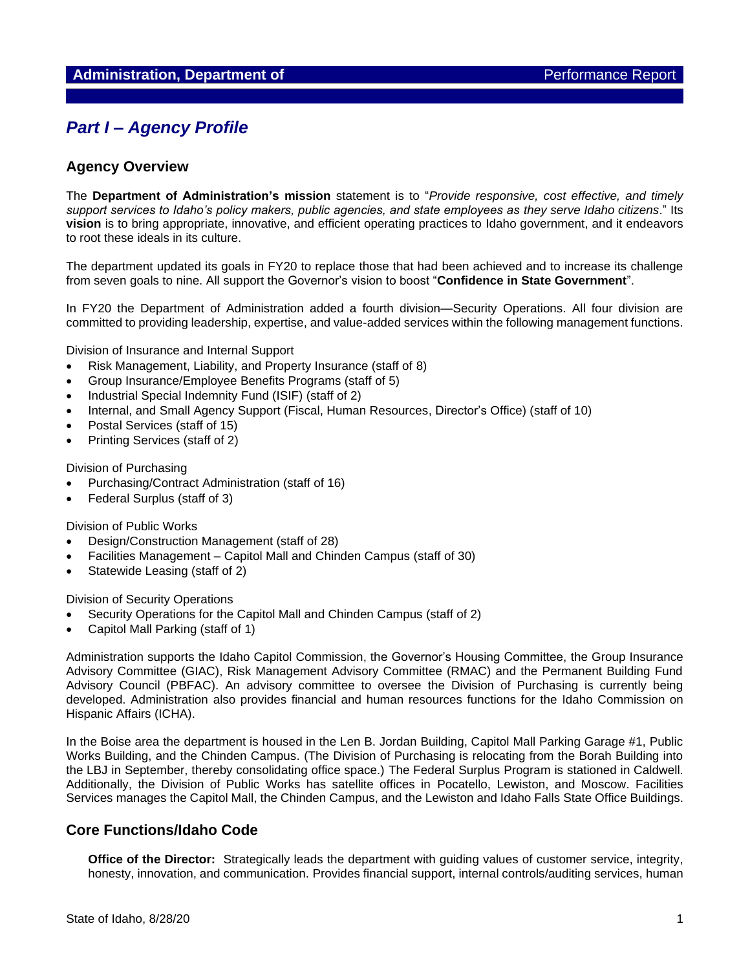# *Part I – Agency Profile*

## **Agency Overview**

The **Department of Administration's mission** statement is to "*Provide responsive, cost effective, and timely support services to Idaho's policy makers, public agencies, and state employees as they serve Idaho citizens*." Its **vision** is to bring appropriate, innovative, and efficient operating practices to Idaho government, and it endeavors to root these ideals in its culture.

The department updated its goals in FY20 to replace those that had been achieved and to increase its challenge from seven goals to nine. All support the Governor's vision to boost "**Confidence in State Government**".

In FY20 the Department of Administration added a fourth division—Security Operations. All four division are committed to providing leadership, expertise, and value-added services within the following management functions.

Division of Insurance and Internal Support

- Risk Management, Liability, and Property Insurance (staff of 8)
- Group Insurance/Employee Benefits Programs (staff of 5)
- Industrial Special Indemnity Fund (ISIF) (staff of 2)
- Internal, and Small Agency Support (Fiscal, Human Resources, Director's Office) (staff of 10)
- Postal Services (staff of 15)
- Printing Services (staff of 2)

Division of Purchasing

- Purchasing/Contract Administration (staff of 16)
- Federal Surplus (staff of 3)

Division of Public Works

- Design/Construction Management (staff of 28)
- Facilities Management Capitol Mall and Chinden Campus (staff of 30)
- Statewide Leasing (staff of 2)

Division of Security Operations

- Security Operations for the Capitol Mall and Chinden Campus (staff of 2)
- Capitol Mall Parking (staff of 1)

Administration supports the Idaho Capitol Commission, the Governor's Housing Committee, the Group Insurance Advisory Committee (GIAC), Risk Management Advisory Committee (RMAC) and the Permanent Building Fund Advisory Council (PBFAC). An advisory committee to oversee the Division of Purchasing is currently being developed. Administration also provides financial and human resources functions for the Idaho Commission on Hispanic Affairs (ICHA).

In the Boise area the department is housed in the Len B. Jordan Building, Capitol Mall Parking Garage #1, Public Works Building, and the Chinden Campus. (The Division of Purchasing is relocating from the Borah Building into the LBJ in September, thereby consolidating office space.) The Federal Surplus Program is stationed in Caldwell. Additionally, the Division of Public Works has satellite offices in Pocatello, Lewiston, and Moscow. Facilities Services manages the Capitol Mall, the Chinden Campus, and the Lewiston and Idaho Falls State Office Buildings.

## **Core Functions/Idaho Code**

**Office of the Director:** Strategically leads the department with guiding values of customer service, integrity, honesty, innovation, and communication. Provides financial support, internal controls/auditing services, human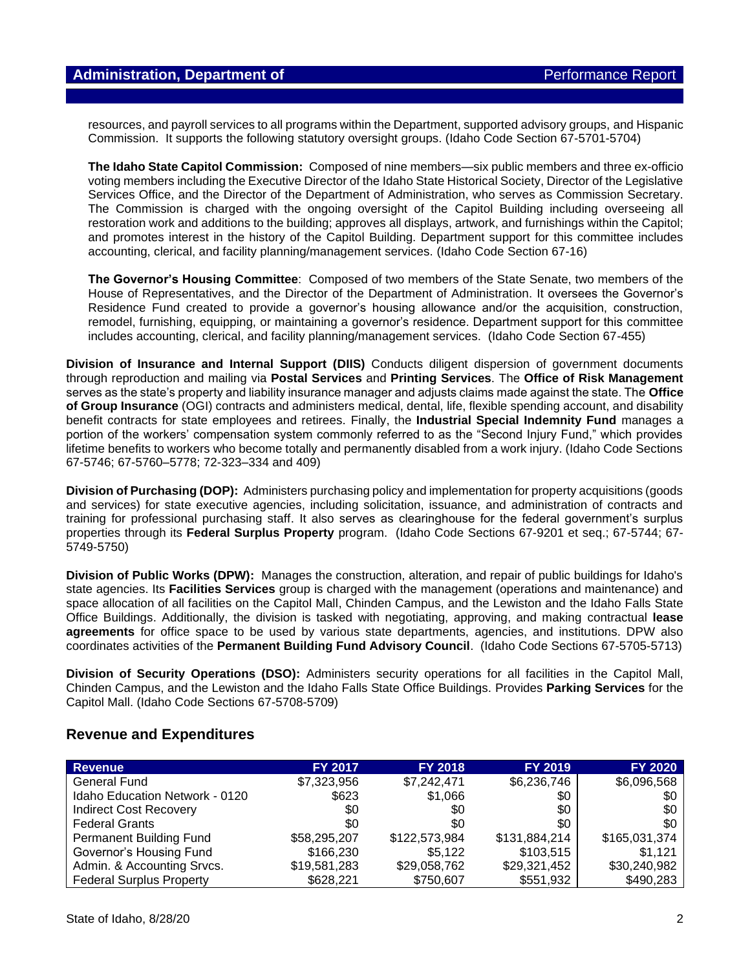resources, and payroll services to all programs within the Department, supported advisory groups, and Hispanic Commission. It supports the following statutory oversight groups. (Idaho Code Section 67-5701-5704)

**The Idaho State Capitol Commission:** Composed of nine members—six public members and three ex-officio voting members including the Executive Director of the Idaho State Historical Society, Director of the Legislative Services Office, and the Director of the Department of Administration, who serves as Commission Secretary. The Commission is charged with the ongoing oversight of the Capitol Building including overseeing all restoration work and additions to the building; approves all displays, artwork, and furnishings within the Capitol; and promotes interest in the history of the Capitol Building. Department support for this committee includes accounting, clerical, and facility planning/management services. (Idaho Code Section 67-16)

**The Governor's Housing Committee**: Composed of two members of the State Senate, two members of the House of Representatives, and the Director of the Department of Administration. It oversees the Governor's Residence Fund created to provide a governor's housing allowance and/or the acquisition, construction, remodel, furnishing, equipping, or maintaining a governor's residence. Department support for this committee includes accounting, clerical, and facility planning/management services. (Idaho Code Section 67-455)

**Division of Insurance and Internal Support (DIIS)** Conducts diligent dispersion of government documents through reproduction and mailing via **Postal Services** and **Printing Services**. The **Office of Risk Management** serves as the state's property and liability insurance manager and adjusts claims made against the state. The **Office of Group Insurance** (OGI) contracts and administers medical, dental, life, flexible spending account, and disability benefit contracts for state employees and retirees. Finally, the **Industrial Special Indemnity Fund** manages a portion of the workers' compensation system commonly referred to as the "Second Injury Fund," which provides lifetime benefits to workers who become totally and permanently disabled from a work injury. (Idaho Code Sections 67-5746; 67-5760–5778; 72-323–334 and 409)

**Division of Purchasing (DOP):** Administers purchasing policy and implementation for property acquisitions (goods and services) for state executive agencies, including solicitation, issuance, and administration of contracts and training for professional purchasing staff. It also serves as clearinghouse for the federal government's surplus properties through its **Federal Surplus Property** program. (Idaho Code Sections 67-9201 et seq.; 67-5744; 67- 5749-5750)

**Division of Public Works (DPW):** Manages the construction, alteration, and repair of public buildings for Idaho's state agencies. Its **Facilities Services** group is charged with the management (operations and maintenance) and space allocation of all facilities on the Capitol Mall, Chinden Campus, and the Lewiston and the Idaho Falls State Office Buildings. Additionally, the division is tasked with negotiating, approving, and making contractual **lease agreements** for office space to be used by various state departments, agencies, and institutions. DPW also coordinates activities of the **Permanent Building Fund Advisory Council**. (Idaho Code Sections 67-5705-5713)

**Division of Security Operations (DSO):** Administers security operations for all facilities in the Capitol Mall, Chinden Campus, and the Lewiston and the Idaho Falls State Office Buildings. Provides **Parking Services** for the Capitol Mall. (Idaho Code Sections 67-5708-5709)

## **Revenue and Expenditures**

| <b>Revenue</b>                  | <b>FY 2017</b> | <b>FY 2018</b> | <b>FY 2019</b> | <b>FY 2020</b> |
|---------------------------------|----------------|----------------|----------------|----------------|
| <b>General Fund</b>             | \$7,323,956    | \$7,242,471    | \$6,236,746    | \$6,096,568    |
| Idaho Education Network - 0120  | \$623          | \$1,066        | \$0            | \$0            |
| <b>Indirect Cost Recovery</b>   | \$0            | \$0            | \$0            | \$0            |
| <b>Federal Grants</b>           | \$0            | \$0            | \$0            | \$0            |
| Permanent Building Fund         | \$58,295,207   | \$122,573,984  | \$131,884,214  | \$165,031,374  |
| Governor's Housing Fund         | \$166,230      | \$5,122        | \$103,515      | \$1.121        |
| Admin. & Accounting Srvcs.      | \$19,581,283   | \$29,058,762   | \$29,321,452   | \$30,240,982   |
| <b>Federal Surplus Property</b> | \$628,221      | \$750,607      | \$551,932      | \$490,283      |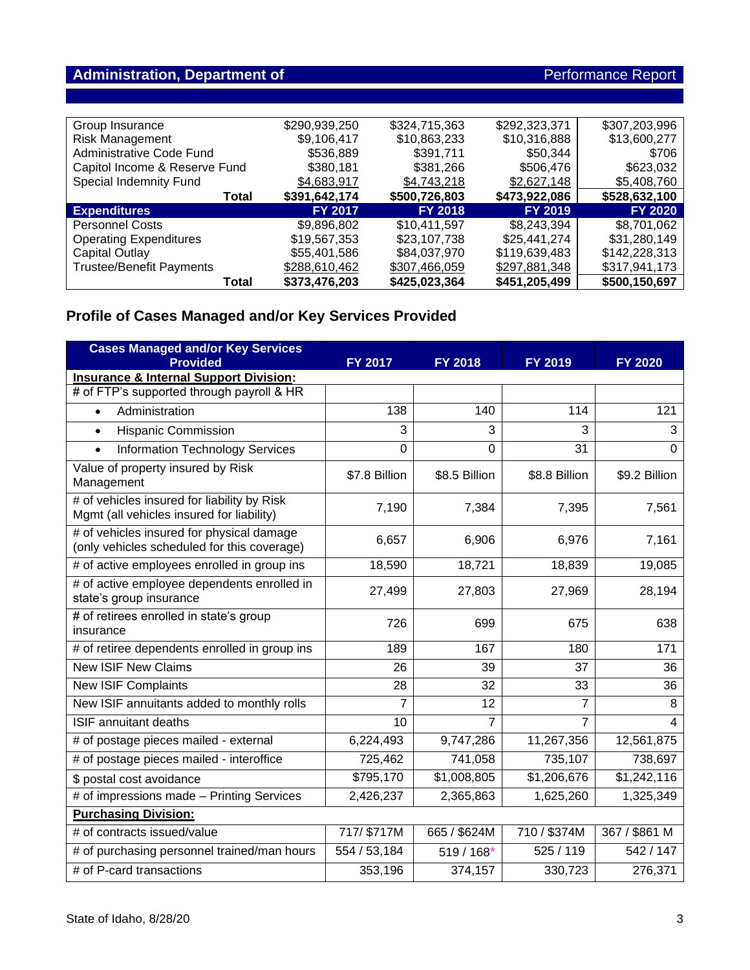# Administration, Department of **Administration, Department of** Performance Report

| Group Insurance                 | \$290,939,250  | \$324,715,363  | \$292,323,371  | \$307,203,996  |
|---------------------------------|----------------|----------------|----------------|----------------|
| <b>Risk Management</b>          | \$9,106,417    | \$10,863,233   | \$10,316,888   | \$13,600,277   |
| Administrative Code Fund        | \$536.889      | \$391.711      | \$50,344       | \$706          |
| Capitol Income & Reserve Fund   | \$380,181      | \$381,266      | \$506,476      | \$623,032      |
| Special Indemnity Fund          | \$4,683,917    | \$4,743,218    | \$2,627,148    | \$5,408,760    |
| <b>Total</b>                    | \$391,642,174  | \$500,726,803  | \$473,922,086  | \$528,632,100  |
| <b>Expenditures</b>             | <b>FY 2017</b> | <b>FY 2018</b> | <b>FY 2019</b> | <b>FY 2020</b> |
|                                 |                |                |                |                |
| <b>Personnel Costs</b>          | \$9,896,802    | \$10.411.597   | \$8,243,394    | \$8,701,062    |
| <b>Operating Expenditures</b>   | \$19,567,353   | \$23,107,738   | \$25,441,274   | \$31,280,149   |
| Capital Outlay                  | \$55,401,586   | \$84,037,970   | \$119,639,483  | \$142,228,313  |
| <b>Trustee/Benefit Payments</b> | \$288,610,462  | \$307,466,059  | \$297,881,348  | \$317,941,173  |

# **Profile of Cases Managed and/or Key Services Provided**

| <b>Cases Managed and/or Key Services</b><br><b>Provided</b>                              | <b>FY 2017</b> | FY 2018        | FY 2019        | <b>FY 2020</b> |
|------------------------------------------------------------------------------------------|----------------|----------------|----------------|----------------|
| <b>Insurance &amp; Internal Support Division:</b>                                        |                |                |                |                |
| # of FTP's supported through payroll & HR                                                |                |                |                |                |
| Administration<br>$\bullet$                                                              | 138            | 140            | 114            | 121            |
| <b>Hispanic Commission</b><br>$\bullet$                                                  | 3              | 3              | 3              | 3              |
| <b>Information Technology Services</b>                                                   | $\overline{0}$ | 0              | 31             | $\Omega$       |
| Value of property insured by Risk<br>Management                                          | \$7.8 Billion  | \$8.5 Billion  | \$8.8 Billion  | \$9.2 Billion  |
| # of vehicles insured for liability by Risk<br>Mgmt (all vehicles insured for liability) | 7,190          | 7,384          | 7,395          | 7,561          |
| # of vehicles insured for physical damage<br>(only vehicles scheduled for this coverage) | 6,657          | 6,906          | 6,976          | 7,161          |
| # of active employees enrolled in group ins                                              | 18,590         | 18,721         | 18,839         | 19,085         |
| # of active employee dependents enrolled in<br>state's group insurance                   | 27,499         | 27,803         | 27,969         | 28,194         |
| # of retirees enrolled in state's group<br>insurance                                     | 726            | 699            | 675            | 638            |
| # of retiree dependents enrolled in group ins                                            | 189            | 167            | 180            | 171            |
| <b>New ISIF New Claims</b>                                                               | 26             | 39             | 37             | 36             |
| <b>New ISIF Complaints</b>                                                               | 28             | 32             | 33             | 36             |
| New ISIF annuitants added to monthly rolls                                               | $\overline{7}$ | 12             | 7              | 8              |
| <b>ISIF annuitant deaths</b>                                                             | 10             | $\overline{7}$ | $\overline{7}$ | 4              |
| # of postage pieces mailed - external                                                    | 6,224,493      | 9,747,286      | 11,267,356     | 12,561,875     |
| # of postage pieces mailed - interoffice                                                 | 725,462        | 741,058        | 735,107        | 738,697        |
| \$ postal cost avoidance                                                                 | \$795,170      | \$1,008,805    | \$1,206,676    | \$1,242,116    |
| # of impressions made - Printing Services                                                | 2,426,237      | 2,365,863      | 1,625,260      | 1,325,349      |
| <b>Purchasing Division:</b>                                                              |                |                |                |                |
| # of contracts issued/value                                                              | 717/ \$717M    | 665 / \$624M   | 710 / \$374M   | 367 / \$861 M  |
| # of purchasing personnel trained/man hours                                              | 554 / 53,184   | $519/168*$     | 525 / 119      | 542 / 147      |
| # of P-card transactions                                                                 | 353,196        | 374,157        | 330,723        | 276,371        |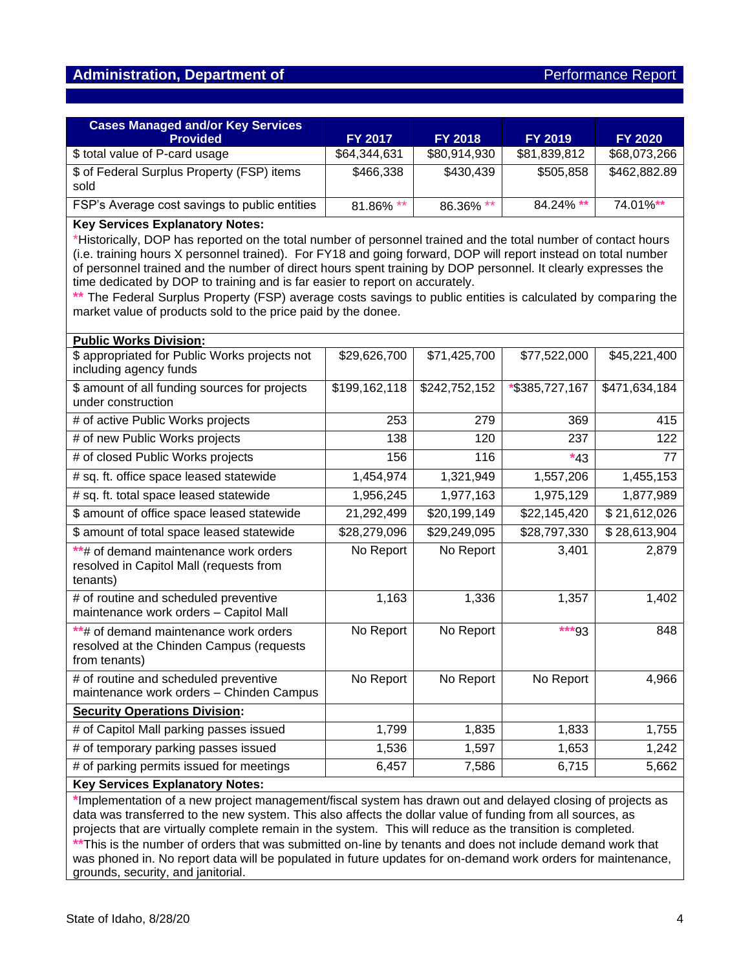## **Administration, Department of** *Performance Report* **Report of** *Performance Report*

| <b>Cases Managed and/or Key Services</b><br><b>Provided</b> | <b>FY 2017</b> | <b>FY 2018</b> | <b>FY 2019</b> | <b>FY 2020</b> |
|-------------------------------------------------------------|----------------|----------------|----------------|----------------|
| \$ total value of P-card usage                              | \$64,344,631   | \$80,914,930   | \$81,839,812   | \$68,073,266   |
| \$ of Federal Surplus Property (FSP) items<br>sold          | \$466,338      | \$430,439      | \$505,858      | \$462,882.89   |
| FSP's Average cost savings to public entities               | 81.86% **      | 86.36% **      | 84.24% **      | 74.01%**       |

#### **Key Services Explanatory Notes:**

\*Historically, DOP has reported on the total number of personnel trained and the total number of contact hours (i.e. training hours X personnel trained). For FY18 and going forward, DOP will report instead on total number of personnel trained and the number of direct hours spent training by DOP personnel. It clearly expresses the time dedicated by DOP to training and is far easier to report on accurately.

**\*\*** The Federal Surplus Property (FSP) average costs savings to public entities is calculated by comparing the market value of products sold to the price paid by the donee.

| <b>Public Works Division:</b>                                                                      |               |               |                |               |  |  |  |
|----------------------------------------------------------------------------------------------------|---------------|---------------|----------------|---------------|--|--|--|
| \$ appropriated for Public Works projects not<br>including agency funds                            | \$29,626,700  | \$71,425,700  | \$77,522,000   | \$45,221,400  |  |  |  |
| \$ amount of all funding sources for projects<br>under construction                                | \$199,162,118 | \$242,752,152 | *\$385,727,167 | \$471,634,184 |  |  |  |
| # of active Public Works projects                                                                  | 253           | 279           | 369            | 415           |  |  |  |
| # of new Public Works projects                                                                     | 138           | 120           | 237            | 122           |  |  |  |
| # of closed Public Works projects                                                                  | 156           | 116           | $*43$          | 77            |  |  |  |
| # sq. ft. office space leased statewide                                                            | 1,454,974     | 1,321,949     | 1,557,206      | 1,455,153     |  |  |  |
| # sq. ft. total space leased statewide                                                             | 1,956,245     | 1,977,163     | 1,975,129      | 1,877,989     |  |  |  |
| \$ amount of office space leased statewide                                                         | 21,292,499    | \$20,199,149  | \$22,145,420   | \$21,612,026  |  |  |  |
| \$ amount of total space leased statewide                                                          | \$28,279,096  | \$29,249,095  | \$28,797,330   | \$28,613,904  |  |  |  |
| **# of demand maintenance work orders<br>resolved in Capitol Mall (requests from<br>tenants)       | No Report     | No Report     | 3,401          | 2,879         |  |  |  |
| # of routine and scheduled preventive<br>maintenance work orders - Capitol Mall                    | 1,163         | 1,336         | 1,357          | 1,402         |  |  |  |
| **# of demand maintenance work orders<br>resolved at the Chinden Campus (requests<br>from tenants) | No Report     | No Report     | ***93          | 848           |  |  |  |
| # of routine and scheduled preventive<br>maintenance work orders - Chinden Campus                  | No Report     | No Report     | No Report      | 4,966         |  |  |  |
| <b>Security Operations Division:</b>                                                               |               |               |                |               |  |  |  |
| # of Capitol Mall parking passes issued                                                            | 1,799         | 1,835         | 1,833          | 1,755         |  |  |  |
| # of temporary parking passes issued                                                               | 1,536         | 1,597         | 1,653          | 1,242         |  |  |  |
| # of parking permits issued for meetings                                                           | 6,457         | 7,586         | 6,715          | 5,662         |  |  |  |
| Kay Sarvices Evnlangtory Notes:                                                                    |               |               |                |               |  |  |  |

#### **Key Services Explanatory Notes:**

**\***Implementation of a new project management/fiscal system has drawn out and delayed closing of projects as data was transferred to the new system. This also affects the dollar value of funding from all sources, as projects that are virtually complete remain in the system. This will reduce as the transition is completed. **\*\***This is the number of orders that was submitted on-line by tenants and does not include demand work that was phoned in. No report data will be populated in future updates for on-demand work orders for maintenance, grounds, security, and janitorial.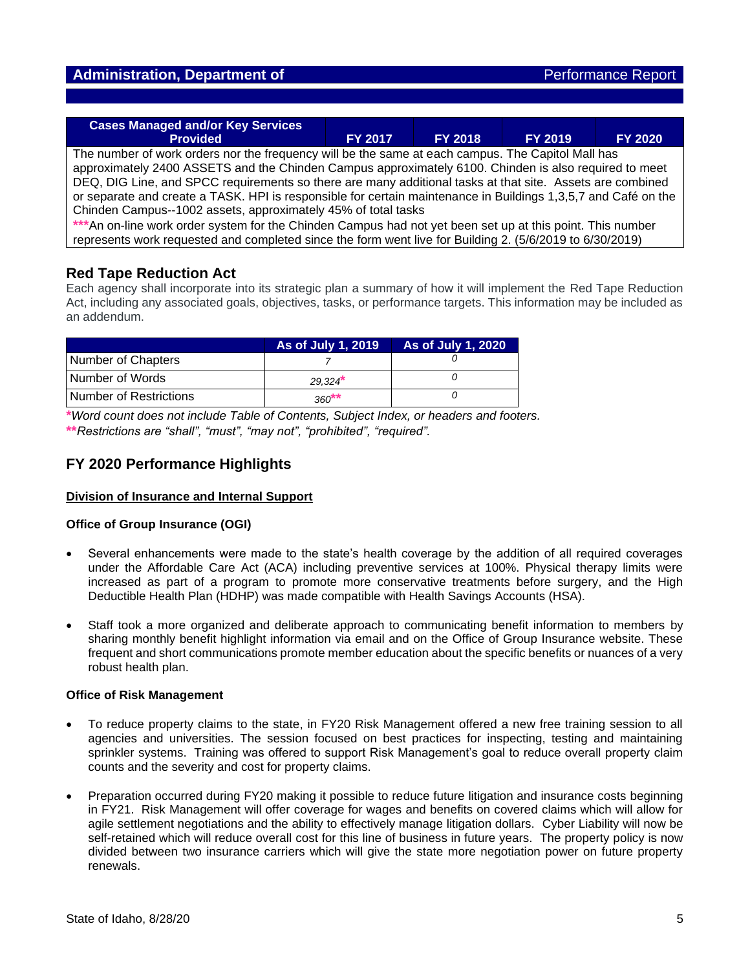| <b>Cases Managed and/or Key Services</b><br><b>Provided</b>                                                    | <b>FY 2017</b> | <b>FY 2018</b> | <b>FY 2019</b> | <b>FY 2020</b> |  |  |  |
|----------------------------------------------------------------------------------------------------------------|----------------|----------------|----------------|----------------|--|--|--|
|                                                                                                                |                |                |                |                |  |  |  |
| The number of work orders nor the frequency will be the same at each campus. The Capitol Mall has              |                |                |                |                |  |  |  |
|                                                                                                                |                |                |                |                |  |  |  |
| approximately 2400 ASSETS and the Chinden Campus approximately 6100. Chinden is also required to meet          |                |                |                |                |  |  |  |
| DEQ, DIG Line, and SPCC requirements so there are many additional tasks at that site. Assets are combined      |                |                |                |                |  |  |  |
|                                                                                                                |                |                |                |                |  |  |  |
| or separate and create a TASK. HPI is responsible for certain maintenance in Buildings 1,3,5,7 and Café on the |                |                |                |                |  |  |  |
| Chinden Campus--1002 assets, approximately 45% of total tasks                                                  |                |                |                |                |  |  |  |
|                                                                                                                |                |                |                |                |  |  |  |
| ***An on-line work order system for the Chinden Campus had not yet been set up at this point. This number      |                |                |                |                |  |  |  |
| represents work requested and completed since the form went live for Building 2. (5/6/2019 to 6/30/2019)       |                |                |                |                |  |  |  |

## **Red Tape Reduction Act**

Each agency shall incorporate into its strategic plan a summary of how it will implement the Red Tape Reduction Act, including any associated goals, objectives, tasks, or performance targets. This information may be included as an addendum.

|                        | As of July 1, 2019 | As of July 1, 2020 |
|------------------------|--------------------|--------------------|
| Number of Chapters     |                    |                    |
| Number of Words        | 29.324             |                    |
| Number of Restrictions | $360**$            |                    |

**\****Word count does not include Table of Contents, Subject Index, or headers and footers.* **\*\****Restrictions are "shall", "must", "may not", "prohibited", "required".*

## **FY 2020 Performance Highlights**

## **Division of Insurance and Internal Support**

#### **Office of Group Insurance (OGI)**

- Several enhancements were made to the state's health coverage by the addition of all required coverages under the Affordable Care Act (ACA) including preventive services at 100%. Physical therapy limits were increased as part of a program to promote more conservative treatments before surgery, and the High Deductible Health Plan (HDHP) was made compatible with Health Savings Accounts (HSA).
- Staff took a more organized and deliberate approach to communicating benefit information to members by sharing monthly benefit highlight information via email and on the Office of Group Insurance website. These frequent and short communications promote member education about the specific benefits or nuances of a very robust health plan.

#### **Office of Risk Management**

- To reduce property claims to the state, in FY20 Risk Management offered a new free training session to all agencies and universities. The session focused on best practices for inspecting, testing and maintaining sprinkler systems. Training was offered to support Risk Management's goal to reduce overall property claim counts and the severity and cost for property claims.
- Preparation occurred during FY20 making it possible to reduce future litigation and insurance costs beginning in FY21. Risk Management will offer coverage for wages and benefits on covered claims which will allow for agile settlement negotiations and the ability to effectively manage litigation dollars. Cyber Liability will now be self-retained which will reduce overall cost for this line of business in future years. The property policy is now divided between two insurance carriers which will give the state more negotiation power on future property renewals.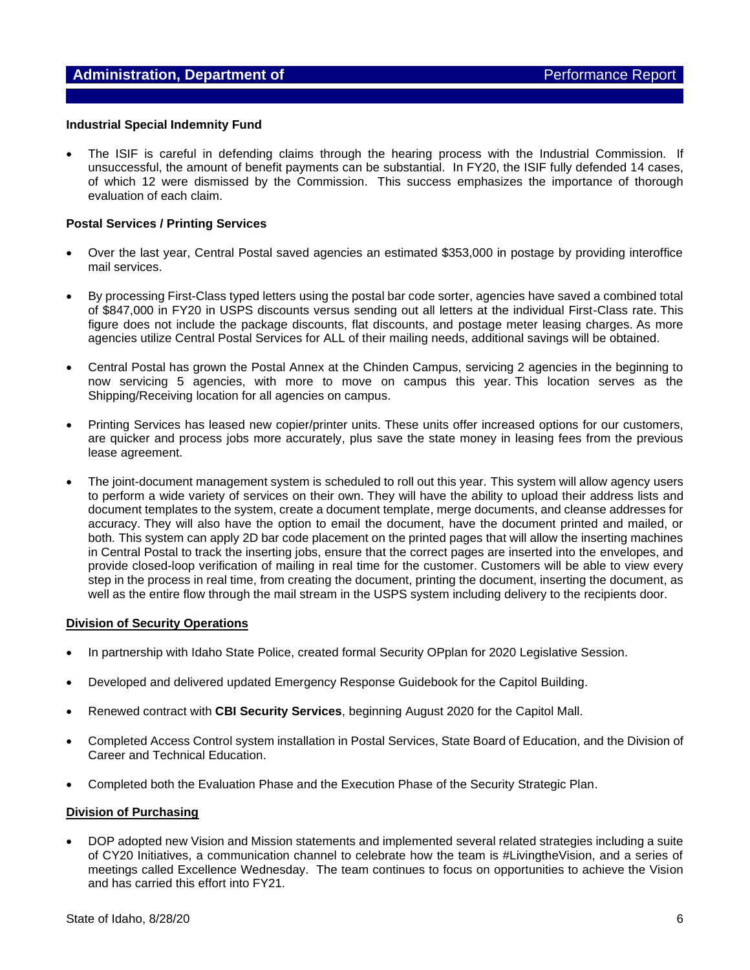#### **Industrial Special Indemnity Fund**

• The ISIF is careful in defending claims through the hearing process with the Industrial Commission. If unsuccessful, the amount of benefit payments can be substantial. In FY20, the ISIF fully defended 14 cases, of which 12 were dismissed by the Commission. This success emphasizes the importance of thorough evaluation of each claim.

#### **Postal Services / Printing Services**

- Over the last year, Central Postal saved agencies an estimated \$353,000 in postage by providing interoffice mail services.
- By processing First-Class typed letters using the postal bar code sorter, agencies have saved a combined total of \$847,000 in FY20 in USPS discounts versus sending out all letters at the individual First-Class rate. This figure does not include the package discounts, flat discounts, and postage meter leasing charges. As more agencies utilize Central Postal Services for ALL of their mailing needs, additional savings will be obtained.
- Central Postal has grown the Postal Annex at the Chinden Campus, servicing 2 agencies in the beginning to now servicing 5 agencies, with more to move on campus this year. This location serves as the Shipping/Receiving location for all agencies on campus.
- Printing Services has leased new copier/printer units. These units offer increased options for our customers, are quicker and process jobs more accurately, plus save the state money in leasing fees from the previous lease agreement.
- The joint-document management system is scheduled to roll out this year. This system will allow agency users to perform a wide variety of services on their own. They will have the ability to upload their address lists and document templates to the system, create a document template, merge documents, and cleanse addresses for accuracy. They will also have the option to email the document, have the document printed and mailed, or both. This system can apply 2D bar code placement on the printed pages that will allow the inserting machines in Central Postal to track the inserting jobs, ensure that the correct pages are inserted into the envelopes, and provide closed-loop verification of mailing in real time for the customer. Customers will be able to view every step in the process in real time, from creating the document, printing the document, inserting the document, as well as the entire flow through the mail stream in the USPS system including delivery to the recipients door.

#### **Division of Security Operations**

- In partnership with Idaho State Police, created formal Security OPplan for 2020 Legislative Session.
- Developed and delivered updated Emergency Response Guidebook for the Capitol Building.
- Renewed contract with **CBI Security Services**, beginning August 2020 for the Capitol Mall.
- Completed Access Control system installation in Postal Services, State Board of Education, and the Division of Career and Technical Education.
- Completed both the Evaluation Phase and the Execution Phase of the Security Strategic Plan.

#### **Division of Purchasing**

• DOP adopted new Vision and Mission statements and implemented several related strategies including a suite of CY20 Initiatives, a communication channel to celebrate how the team is #LivingtheVision, and a series of meetings called Excellence Wednesday. The team continues to focus on opportunities to achieve the Vision and has carried this effort into FY21.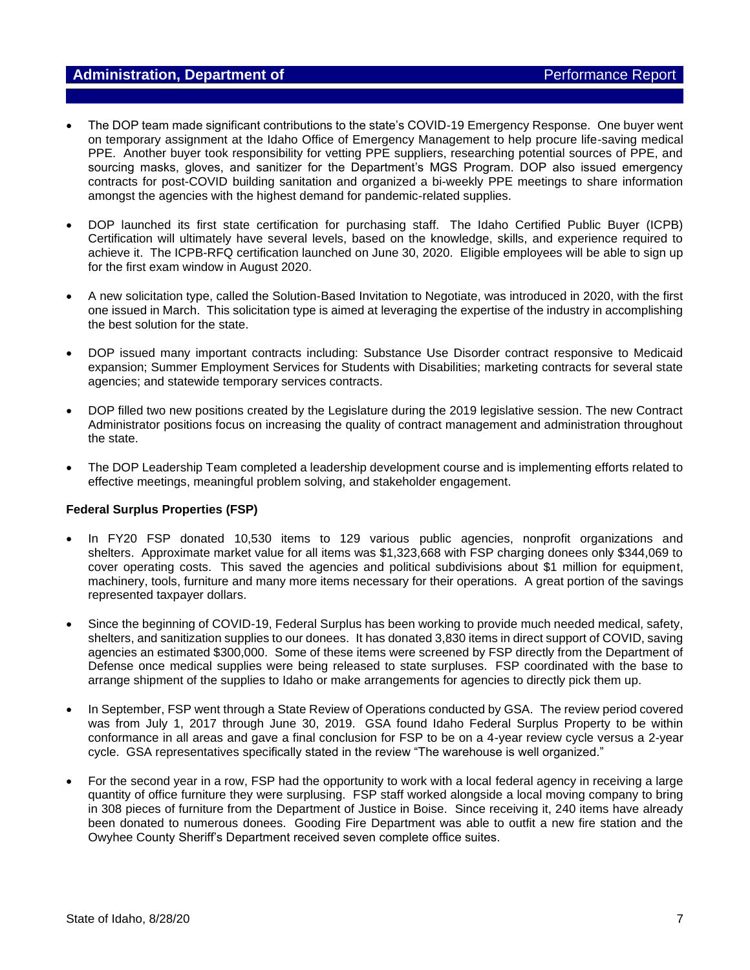## **Administration, Department of Administration, Department of Administration Administration, Performance Report**

- The DOP team made significant contributions to the state's COVID-19 Emergency Response. One buyer went on temporary assignment at the Idaho Office of Emergency Management to help procure life-saving medical PPE. Another buyer took responsibility for vetting PPE suppliers, researching potential sources of PPE, and sourcing masks, gloves, and sanitizer for the Department's MGS Program. DOP also issued emergency contracts for post-COVID building sanitation and organized a bi-weekly PPE meetings to share information amongst the agencies with the highest demand for pandemic-related supplies.
- DOP launched its first state certification for purchasing staff. The Idaho Certified Public Buyer (ICPB) Certification will ultimately have several levels, based on the knowledge, skills, and experience required to achieve it. The ICPB-RFQ certification launched on June 30, 2020. Eligible employees will be able to sign up for the first exam window in August 2020.
- A new solicitation type, called the Solution-Based Invitation to Negotiate, was introduced in 2020, with the first one issued in March. This solicitation type is aimed at leveraging the expertise of the industry in accomplishing the best solution for the state.
- DOP issued many important contracts including: Substance Use Disorder contract responsive to Medicaid expansion; Summer Employment Services for Students with Disabilities; marketing contracts for several state agencies; and statewide temporary services contracts.
- DOP filled two new positions created by the Legislature during the 2019 legislative session. The new Contract Administrator positions focus on increasing the quality of contract management and administration throughout the state.
- The DOP Leadership Team completed a leadership development course and is implementing efforts related to effective meetings, meaningful problem solving, and stakeholder engagement.

#### **Federal Surplus Properties (FSP)**

- In FY20 FSP donated 10,530 items to 129 various public agencies, nonprofit organizations and shelters. Approximate market value for all items was \$1,323,668 with FSP charging donees only \$344,069 to cover operating costs. This saved the agencies and political subdivisions about \$1 million for equipment, machinery, tools, furniture and many more items necessary for their operations. A great portion of the savings represented taxpayer dollars.
- Since the beginning of COVID-19, Federal Surplus has been working to provide much needed medical, safety, shelters, and sanitization supplies to our donees. It has donated 3,830 items in direct support of COVID, saving agencies an estimated \$300,000. Some of these items were screened by FSP directly from the Department of Defense once medical supplies were being released to state surpluses. FSP coordinated with the base to arrange shipment of the supplies to Idaho or make arrangements for agencies to directly pick them up.
- In September, FSP went through a State Review of Operations conducted by GSA. The review period covered was from July 1, 2017 through June 30, 2019. GSA found Idaho Federal Surplus Property to be within conformance in all areas and gave a final conclusion for FSP to be on a 4-year review cycle versus a 2-year cycle. GSA representatives specifically stated in the review "The warehouse is well organized."
- For the second year in a row, FSP had the opportunity to work with a local federal agency in receiving a large quantity of office furniture they were surplusing. FSP staff worked alongside a local moving company to bring in 308 pieces of furniture from the Department of Justice in Boise. Since receiving it, 240 items have already been donated to numerous donees. Gooding Fire Department was able to outfit a new fire station and the Owyhee County Sheriff's Department received seven complete office suites.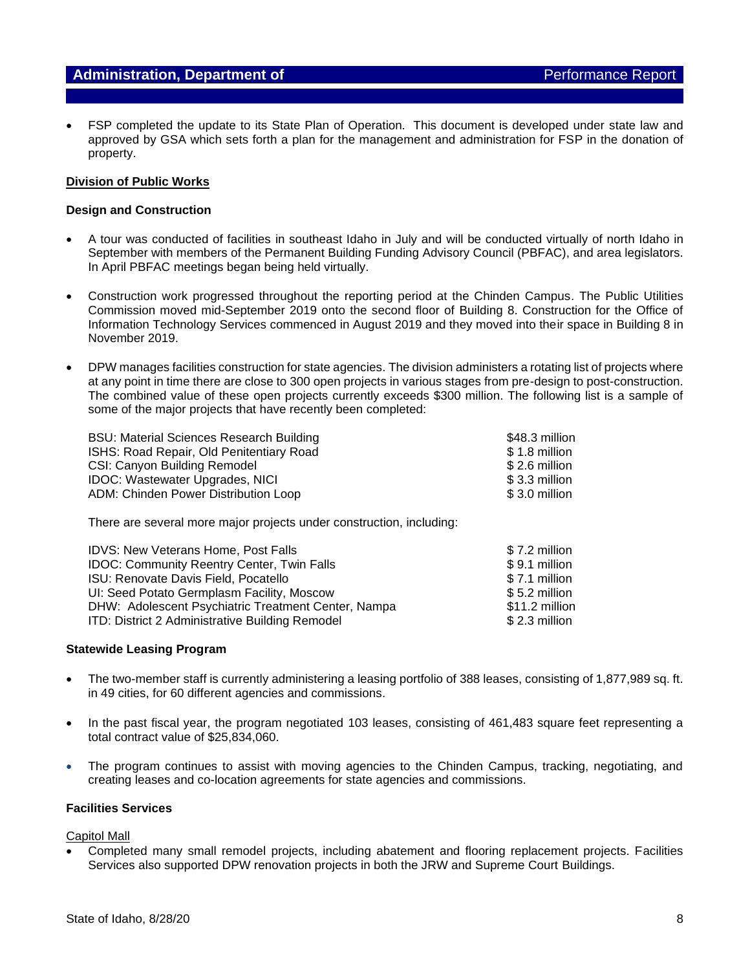• FSP completed the update to its State Plan of Operation. This document is developed under state law and approved by GSA which sets forth a plan for the management and administration for FSP in the donation of property.

#### **Division of Public Works**

#### **Design and Construction**

- A tour was conducted of facilities in southeast Idaho in July and will be conducted virtually of north Idaho in September with members of the Permanent Building Funding Advisory Council (PBFAC), and area legislators. In April PBFAC meetings began being held virtually.
- Construction work progressed throughout the reporting period at the Chinden Campus. The Public Utilities Commission moved mid-September 2019 onto the second floor of Building 8. Construction for the Office of Information Technology Services commenced in August 2019 and they moved into their space in Building 8 in November 2019.
- DPW manages facilities construction for state agencies. The division administers a rotating list of projects where at any point in time there are close to 300 open projects in various stages from pre-design to post-construction. The combined value of these open projects currently exceeds \$300 million. The following list is a sample of some of the major projects that have recently been completed:

| <b>BSU: Material Sciences Research Building</b> | \$48.3 million |
|-------------------------------------------------|----------------|
| ISHS: Road Repair, Old Penitentiary Road        | \$1.8 million  |
| CSI: Canyon Building Remodel                    | \$ 2.6 million |
| <b>IDOC: Wastewater Upgrades, NICI</b>          | \$ 3.3 million |
| ADM: Chinden Power Distribution Loop            | \$ 3.0 million |

There are several more major projects under construction, including:

| <b>IDVS: New Veterans Home, Post Falls</b>             | $$7.2$ million |
|--------------------------------------------------------|----------------|
| <b>IDOC: Community Reentry Center, Twin Falls</b>      | \$9.1 million  |
| ISU: Renovate Davis Field, Pocatello                   | \$7.1 million  |
| UI: Seed Potato Germplasm Facility, Moscow             | $$5.2$ million |
| DHW: Adolescent Psychiatric Treatment Center, Nampa    | \$11.2 million |
| <b>ITD: District 2 Administrative Building Remodel</b> | $$2.3$ million |

#### **Statewide Leasing Program**

- The two-member staff is currently administering a leasing portfolio of 388 leases, consisting of 1,877,989 sq. ft. in 49 cities, for 60 different agencies and commissions.
- In the past fiscal year, the program negotiated 103 leases, consisting of 461,483 square feet representing a total contract value of \$25,834,060.
- The program continues to assist with moving agencies to the Chinden Campus, tracking, negotiating, and creating leases and co-location agreements for state agencies and commissions.

#### **Facilities Services**

Capitol Mall

• Completed many small remodel projects, including abatement and flooring replacement projects. Facilities Services also supported DPW renovation projects in both the JRW and Supreme Court Buildings.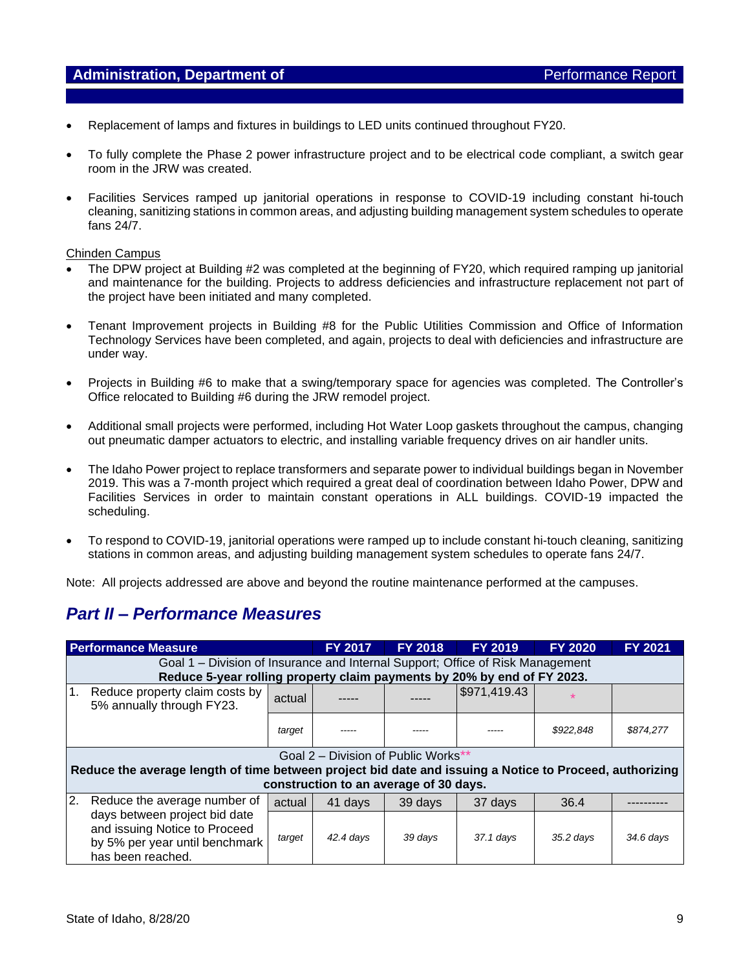- Replacement of lamps and fixtures in buildings to LED units continued throughout FY20.
- To fully complete the Phase 2 power infrastructure project and to be electrical code compliant, a switch gear room in the JRW was created.
- Facilities Services ramped up janitorial operations in response to COVID-19 including constant hi-touch cleaning, sanitizing stations in common areas, and adjusting building management system schedules to operate fans 24/7.

#### Chinden Campus

- The DPW project at Building #2 was completed at the beginning of FY20, which required ramping up janitorial and maintenance for the building. Projects to address deficiencies and infrastructure replacement not part of the project have been initiated and many completed.
- Tenant Improvement projects in Building #8 for the Public Utilities Commission and Office of Information Technology Services have been completed, and again, projects to deal with deficiencies and infrastructure are under way.
- Projects in Building #6 to make that a swing/temporary space for agencies was completed. The Controller's Office relocated to Building #6 during the JRW remodel project.
- Additional small projects were performed, including Hot Water Loop gaskets throughout the campus, changing out pneumatic damper actuators to electric, and installing variable frequency drives on air handler units.
- The Idaho Power project to replace transformers and separate power to individual buildings began in November 2019. This was a 7-month project which required a great deal of coordination between Idaho Power, DPW and Facilities Services in order to maintain constant operations in ALL buildings. COVID-19 impacted the scheduling.
- To respond to COVID-19, janitorial operations were ramped up to include constant hi-touch cleaning, sanitizing stations in common areas, and adjusting building management system schedules to operate fans 24/7.

Note: All projects addressed are above and beyond the routine maintenance performed at the campuses.

## *Part II – Performance Measures*

|                | <b>Performance Measure</b>                                                                                                                                                               |        | <b>FY 2017</b> | <b>FY 2018</b> | <b>FY 2019</b> | <b>FY 2020</b> | <b>FY 2021</b> |  |  |
|----------------|------------------------------------------------------------------------------------------------------------------------------------------------------------------------------------------|--------|----------------|----------------|----------------|----------------|----------------|--|--|
|                | Goal 1 - Division of Insurance and Internal Support; Office of Risk Management<br>Reduce 5-year rolling property claim payments by 20% by end of FY 2023.                                |        |                |                |                |                |                |  |  |
| 1 <sub>1</sub> | Reduce property claim costs by<br>5% annually through FY23.                                                                                                                              | actual |                |                | \$971,419.43   |                |                |  |  |
|                |                                                                                                                                                                                          | target |                |                |                | \$922,848      | \$874,277      |  |  |
|                | Goal 2 – Division of Public Works**<br>Reduce the average length of time between project bid date and issuing a Notice to Proceed, authorizing<br>construction to an average of 30 days. |        |                |                |                |                |                |  |  |
| 2.             | Reduce the average number of                                                                                                                                                             | actual | 41 days        | 39 days        | 37 days        | 36.4           |                |  |  |
|                | days between project bid date<br>and issuing Notice to Proceed<br>by 5% per year until benchmark<br>has been reached.                                                                    | target | $42.4$ days    | 39 days        | $37.1$ days    | $35.2$ days    | $34.6$ days    |  |  |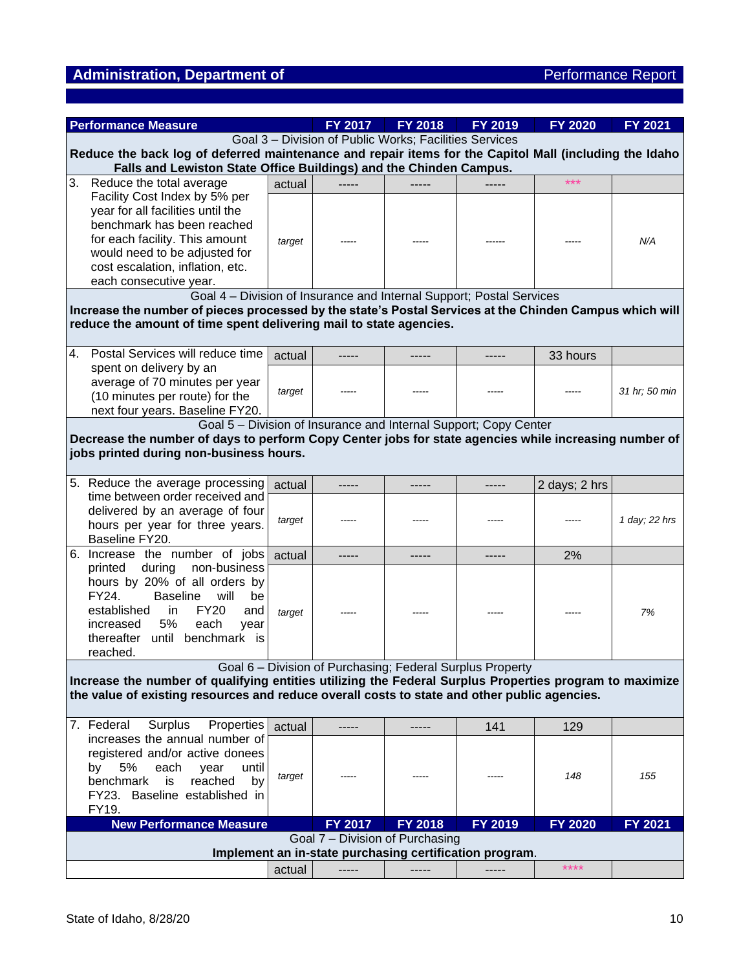# Administration, Department of **Administration, Department of** Performance Report

| Goal 3 - Division of Public Works; Facilities Services<br>Reduce the back log of deferred maintenance and repair items for the Capitol Mall (including the Idaho<br>Falls and Lewiston State Office Buildings) and the Chinden Campus.<br>3.<br>Reduce the total average<br>***<br>actual<br>Facility Cost Index by 5% per<br>year for all facilities until the<br>benchmark has been reached<br>for each facility. This amount<br>N/A<br>target<br>would need to be adjusted for<br>cost escalation, inflation, etc.<br>each consecutive year.<br>Goal 4 - Division of Insurance and Internal Support; Postal Services<br>Increase the number of pieces processed by the state's Postal Services at the Chinden Campus which will<br>reduce the amount of time spent delivering mail to state agencies.<br>Postal Services will reduce time<br>4.<br>33 hours<br>actual<br>spent on delivery by an<br>average of 70 minutes per year<br>target<br>31 hr; 50 min<br>(10 minutes per route) for the<br>next four years. Baseline FY20.<br>Goal 5 - Division of Insurance and Internal Support; Copy Center<br>Decrease the number of days to perform Copy Center jobs for state agencies while increasing number of<br>jobs printed during non-business hours.<br>5. Reduce the average processing<br>2 days; 2 hrs<br>actual<br>-----<br>-----<br>-----<br>time between order received and<br>delivered by an average of four<br>1 day; 22 hrs<br>target<br>hours per year for three years.<br>Baseline FY20.<br>6. Increase the number of jobs actual<br>2%<br>printed during non-business<br>hours by 20% of all orders by<br><b>Baseline</b><br>FY24.<br>will<br>be<br><b>FY20</b><br>established<br>in.<br>and<br>target<br>7%<br>5%<br>increased<br>each<br>year<br>thereafter until benchmark is<br>reached.<br>Goal 6 – Division of Purchasing; Federal Surplus Property<br>Increase the number of qualifying entities utilizing the Federal Surplus Properties program to maximize<br>the value of existing resources and reduce overall costs to state and other public agencies.<br>7. Federal<br>Surplus<br>Properties<br>141<br>129<br>actual<br>$- - - - -$<br>-----<br>increases the annual number of<br>registered and/or active donees<br>5%<br>by<br>each<br>year<br>until<br>148<br>155<br>target<br>benchmark<br>is<br>reached<br>by<br>FY23. Baseline established in<br>FY19.<br><b>New Performance Measure</b><br>FY 2017<br>FY 2018<br>FY 2019<br>FY 2020<br>FY 2021<br>Goal 7 - Division of Purchasing<br>Implement an in-state purchasing certification program. | <b>Performance Measure</b> |        | FY 2017 | <b>FY 2018</b> | <b>FY 2019</b> | <b>FY 2020</b> | FY 2021 |
|------------------------------------------------------------------------------------------------------------------------------------------------------------------------------------------------------------------------------------------------------------------------------------------------------------------------------------------------------------------------------------------------------------------------------------------------------------------------------------------------------------------------------------------------------------------------------------------------------------------------------------------------------------------------------------------------------------------------------------------------------------------------------------------------------------------------------------------------------------------------------------------------------------------------------------------------------------------------------------------------------------------------------------------------------------------------------------------------------------------------------------------------------------------------------------------------------------------------------------------------------------------------------------------------------------------------------------------------------------------------------------------------------------------------------------------------------------------------------------------------------------------------------------------------------------------------------------------------------------------------------------------------------------------------------------------------------------------------------------------------------------------------------------------------------------------------------------------------------------------------------------------------------------------------------------------------------------------------------------------------------------------------------------------------------------------------------------------------------------------------------------------------------------------------------------------------------------------------------------------------------------------------------------------------------------------------------------------------------------------------------------------------------------------------------------------------------------------------------------------------------------------------------------------------------------------------------------------|----------------------------|--------|---------|----------------|----------------|----------------|---------|
|                                                                                                                                                                                                                                                                                                                                                                                                                                                                                                                                                                                                                                                                                                                                                                                                                                                                                                                                                                                                                                                                                                                                                                                                                                                                                                                                                                                                                                                                                                                                                                                                                                                                                                                                                                                                                                                                                                                                                                                                                                                                                                                                                                                                                                                                                                                                                                                                                                                                                                                                                                                          |                            |        |         |                |                |                |         |
|                                                                                                                                                                                                                                                                                                                                                                                                                                                                                                                                                                                                                                                                                                                                                                                                                                                                                                                                                                                                                                                                                                                                                                                                                                                                                                                                                                                                                                                                                                                                                                                                                                                                                                                                                                                                                                                                                                                                                                                                                                                                                                                                                                                                                                                                                                                                                                                                                                                                                                                                                                                          |                            |        |         |                |                |                |         |
|                                                                                                                                                                                                                                                                                                                                                                                                                                                                                                                                                                                                                                                                                                                                                                                                                                                                                                                                                                                                                                                                                                                                                                                                                                                                                                                                                                                                                                                                                                                                                                                                                                                                                                                                                                                                                                                                                                                                                                                                                                                                                                                                                                                                                                                                                                                                                                                                                                                                                                                                                                                          |                            |        |         |                |                |                |         |
|                                                                                                                                                                                                                                                                                                                                                                                                                                                                                                                                                                                                                                                                                                                                                                                                                                                                                                                                                                                                                                                                                                                                                                                                                                                                                                                                                                                                                                                                                                                                                                                                                                                                                                                                                                                                                                                                                                                                                                                                                                                                                                                                                                                                                                                                                                                                                                                                                                                                                                                                                                                          |                            |        |         |                |                |                |         |
|                                                                                                                                                                                                                                                                                                                                                                                                                                                                                                                                                                                                                                                                                                                                                                                                                                                                                                                                                                                                                                                                                                                                                                                                                                                                                                                                                                                                                                                                                                                                                                                                                                                                                                                                                                                                                                                                                                                                                                                                                                                                                                                                                                                                                                                                                                                                                                                                                                                                                                                                                                                          |                            |        |         |                |                |                |         |
|                                                                                                                                                                                                                                                                                                                                                                                                                                                                                                                                                                                                                                                                                                                                                                                                                                                                                                                                                                                                                                                                                                                                                                                                                                                                                                                                                                                                                                                                                                                                                                                                                                                                                                                                                                                                                                                                                                                                                                                                                                                                                                                                                                                                                                                                                                                                                                                                                                                                                                                                                                                          |                            |        |         |                |                |                |         |
|                                                                                                                                                                                                                                                                                                                                                                                                                                                                                                                                                                                                                                                                                                                                                                                                                                                                                                                                                                                                                                                                                                                                                                                                                                                                                                                                                                                                                                                                                                                                                                                                                                                                                                                                                                                                                                                                                                                                                                                                                                                                                                                                                                                                                                                                                                                                                                                                                                                                                                                                                                                          |                            |        |         |                |                |                |         |
|                                                                                                                                                                                                                                                                                                                                                                                                                                                                                                                                                                                                                                                                                                                                                                                                                                                                                                                                                                                                                                                                                                                                                                                                                                                                                                                                                                                                                                                                                                                                                                                                                                                                                                                                                                                                                                                                                                                                                                                                                                                                                                                                                                                                                                                                                                                                                                                                                                                                                                                                                                                          |                            |        |         |                |                |                |         |
|                                                                                                                                                                                                                                                                                                                                                                                                                                                                                                                                                                                                                                                                                                                                                                                                                                                                                                                                                                                                                                                                                                                                                                                                                                                                                                                                                                                                                                                                                                                                                                                                                                                                                                                                                                                                                                                                                                                                                                                                                                                                                                                                                                                                                                                                                                                                                                                                                                                                                                                                                                                          |                            |        |         |                |                |                |         |
|                                                                                                                                                                                                                                                                                                                                                                                                                                                                                                                                                                                                                                                                                                                                                                                                                                                                                                                                                                                                                                                                                                                                                                                                                                                                                                                                                                                                                                                                                                                                                                                                                                                                                                                                                                                                                                                                                                                                                                                                                                                                                                                                                                                                                                                                                                                                                                                                                                                                                                                                                                                          |                            |        |         |                |                |                |         |
|                                                                                                                                                                                                                                                                                                                                                                                                                                                                                                                                                                                                                                                                                                                                                                                                                                                                                                                                                                                                                                                                                                                                                                                                                                                                                                                                                                                                                                                                                                                                                                                                                                                                                                                                                                                                                                                                                                                                                                                                                                                                                                                                                                                                                                                                                                                                                                                                                                                                                                                                                                                          |                            |        |         |                |                |                |         |
|                                                                                                                                                                                                                                                                                                                                                                                                                                                                                                                                                                                                                                                                                                                                                                                                                                                                                                                                                                                                                                                                                                                                                                                                                                                                                                                                                                                                                                                                                                                                                                                                                                                                                                                                                                                                                                                                                                                                                                                                                                                                                                                                                                                                                                                                                                                                                                                                                                                                                                                                                                                          |                            |        |         |                |                |                |         |
|                                                                                                                                                                                                                                                                                                                                                                                                                                                                                                                                                                                                                                                                                                                                                                                                                                                                                                                                                                                                                                                                                                                                                                                                                                                                                                                                                                                                                                                                                                                                                                                                                                                                                                                                                                                                                                                                                                                                                                                                                                                                                                                                                                                                                                                                                                                                                                                                                                                                                                                                                                                          |                            |        |         |                |                |                |         |
|                                                                                                                                                                                                                                                                                                                                                                                                                                                                                                                                                                                                                                                                                                                                                                                                                                                                                                                                                                                                                                                                                                                                                                                                                                                                                                                                                                                                                                                                                                                                                                                                                                                                                                                                                                                                                                                                                                                                                                                                                                                                                                                                                                                                                                                                                                                                                                                                                                                                                                                                                                                          |                            |        |         |                |                |                |         |
|                                                                                                                                                                                                                                                                                                                                                                                                                                                                                                                                                                                                                                                                                                                                                                                                                                                                                                                                                                                                                                                                                                                                                                                                                                                                                                                                                                                                                                                                                                                                                                                                                                                                                                                                                                                                                                                                                                                                                                                                                                                                                                                                                                                                                                                                                                                                                                                                                                                                                                                                                                                          |                            |        |         |                |                |                |         |
|                                                                                                                                                                                                                                                                                                                                                                                                                                                                                                                                                                                                                                                                                                                                                                                                                                                                                                                                                                                                                                                                                                                                                                                                                                                                                                                                                                                                                                                                                                                                                                                                                                                                                                                                                                                                                                                                                                                                                                                                                                                                                                                                                                                                                                                                                                                                                                                                                                                                                                                                                                                          |                            |        |         |                |                |                |         |
|                                                                                                                                                                                                                                                                                                                                                                                                                                                                                                                                                                                                                                                                                                                                                                                                                                                                                                                                                                                                                                                                                                                                                                                                                                                                                                                                                                                                                                                                                                                                                                                                                                                                                                                                                                                                                                                                                                                                                                                                                                                                                                                                                                                                                                                                                                                                                                                                                                                                                                                                                                                          |                            |        |         |                |                |                |         |
|                                                                                                                                                                                                                                                                                                                                                                                                                                                                                                                                                                                                                                                                                                                                                                                                                                                                                                                                                                                                                                                                                                                                                                                                                                                                                                                                                                                                                                                                                                                                                                                                                                                                                                                                                                                                                                                                                                                                                                                                                                                                                                                                                                                                                                                                                                                                                                                                                                                                                                                                                                                          |                            |        |         |                |                |                |         |
|                                                                                                                                                                                                                                                                                                                                                                                                                                                                                                                                                                                                                                                                                                                                                                                                                                                                                                                                                                                                                                                                                                                                                                                                                                                                                                                                                                                                                                                                                                                                                                                                                                                                                                                                                                                                                                                                                                                                                                                                                                                                                                                                                                                                                                                                                                                                                                                                                                                                                                                                                                                          |                            |        |         |                |                |                |         |
|                                                                                                                                                                                                                                                                                                                                                                                                                                                                                                                                                                                                                                                                                                                                                                                                                                                                                                                                                                                                                                                                                                                                                                                                                                                                                                                                                                                                                                                                                                                                                                                                                                                                                                                                                                                                                                                                                                                                                                                                                                                                                                                                                                                                                                                                                                                                                                                                                                                                                                                                                                                          |                            |        |         |                |                |                |         |
|                                                                                                                                                                                                                                                                                                                                                                                                                                                                                                                                                                                                                                                                                                                                                                                                                                                                                                                                                                                                                                                                                                                                                                                                                                                                                                                                                                                                                                                                                                                                                                                                                                                                                                                                                                                                                                                                                                                                                                                                                                                                                                                                                                                                                                                                                                                                                                                                                                                                                                                                                                                          |                            |        |         |                |                |                |         |
|                                                                                                                                                                                                                                                                                                                                                                                                                                                                                                                                                                                                                                                                                                                                                                                                                                                                                                                                                                                                                                                                                                                                                                                                                                                                                                                                                                                                                                                                                                                                                                                                                                                                                                                                                                                                                                                                                                                                                                                                                                                                                                                                                                                                                                                                                                                                                                                                                                                                                                                                                                                          |                            |        |         |                |                |                |         |
|                                                                                                                                                                                                                                                                                                                                                                                                                                                                                                                                                                                                                                                                                                                                                                                                                                                                                                                                                                                                                                                                                                                                                                                                                                                                                                                                                                                                                                                                                                                                                                                                                                                                                                                                                                                                                                                                                                                                                                                                                                                                                                                                                                                                                                                                                                                                                                                                                                                                                                                                                                                          |                            |        |         |                |                |                |         |
|                                                                                                                                                                                                                                                                                                                                                                                                                                                                                                                                                                                                                                                                                                                                                                                                                                                                                                                                                                                                                                                                                                                                                                                                                                                                                                                                                                                                                                                                                                                                                                                                                                                                                                                                                                                                                                                                                                                                                                                                                                                                                                                                                                                                                                                                                                                                                                                                                                                                                                                                                                                          |                            |        |         |                |                |                |         |
|                                                                                                                                                                                                                                                                                                                                                                                                                                                                                                                                                                                                                                                                                                                                                                                                                                                                                                                                                                                                                                                                                                                                                                                                                                                                                                                                                                                                                                                                                                                                                                                                                                                                                                                                                                                                                                                                                                                                                                                                                                                                                                                                                                                                                                                                                                                                                                                                                                                                                                                                                                                          |                            |        |         |                |                |                |         |
|                                                                                                                                                                                                                                                                                                                                                                                                                                                                                                                                                                                                                                                                                                                                                                                                                                                                                                                                                                                                                                                                                                                                                                                                                                                                                                                                                                                                                                                                                                                                                                                                                                                                                                                                                                                                                                                                                                                                                                                                                                                                                                                                                                                                                                                                                                                                                                                                                                                                                                                                                                                          |                            |        |         |                |                |                |         |
|                                                                                                                                                                                                                                                                                                                                                                                                                                                                                                                                                                                                                                                                                                                                                                                                                                                                                                                                                                                                                                                                                                                                                                                                                                                                                                                                                                                                                                                                                                                                                                                                                                                                                                                                                                                                                                                                                                                                                                                                                                                                                                                                                                                                                                                                                                                                                                                                                                                                                                                                                                                          |                            |        |         |                |                |                |         |
|                                                                                                                                                                                                                                                                                                                                                                                                                                                                                                                                                                                                                                                                                                                                                                                                                                                                                                                                                                                                                                                                                                                                                                                                                                                                                                                                                                                                                                                                                                                                                                                                                                                                                                                                                                                                                                                                                                                                                                                                                                                                                                                                                                                                                                                                                                                                                                                                                                                                                                                                                                                          |                            |        |         |                |                |                |         |
|                                                                                                                                                                                                                                                                                                                                                                                                                                                                                                                                                                                                                                                                                                                                                                                                                                                                                                                                                                                                                                                                                                                                                                                                                                                                                                                                                                                                                                                                                                                                                                                                                                                                                                                                                                                                                                                                                                                                                                                                                                                                                                                                                                                                                                                                                                                                                                                                                                                                                                                                                                                          |                            |        |         |                |                |                |         |
|                                                                                                                                                                                                                                                                                                                                                                                                                                                                                                                                                                                                                                                                                                                                                                                                                                                                                                                                                                                                                                                                                                                                                                                                                                                                                                                                                                                                                                                                                                                                                                                                                                                                                                                                                                                                                                                                                                                                                                                                                                                                                                                                                                                                                                                                                                                                                                                                                                                                                                                                                                                          |                            |        |         |                |                |                |         |
|                                                                                                                                                                                                                                                                                                                                                                                                                                                                                                                                                                                                                                                                                                                                                                                                                                                                                                                                                                                                                                                                                                                                                                                                                                                                                                                                                                                                                                                                                                                                                                                                                                                                                                                                                                                                                                                                                                                                                                                                                                                                                                                                                                                                                                                                                                                                                                                                                                                                                                                                                                                          |                            |        |         |                |                |                |         |
|                                                                                                                                                                                                                                                                                                                                                                                                                                                                                                                                                                                                                                                                                                                                                                                                                                                                                                                                                                                                                                                                                                                                                                                                                                                                                                                                                                                                                                                                                                                                                                                                                                                                                                                                                                                                                                                                                                                                                                                                                                                                                                                                                                                                                                                                                                                                                                                                                                                                                                                                                                                          |                            |        |         |                |                |                |         |
|                                                                                                                                                                                                                                                                                                                                                                                                                                                                                                                                                                                                                                                                                                                                                                                                                                                                                                                                                                                                                                                                                                                                                                                                                                                                                                                                                                                                                                                                                                                                                                                                                                                                                                                                                                                                                                                                                                                                                                                                                                                                                                                                                                                                                                                                                                                                                                                                                                                                                                                                                                                          |                            |        |         |                |                |                |         |
|                                                                                                                                                                                                                                                                                                                                                                                                                                                                                                                                                                                                                                                                                                                                                                                                                                                                                                                                                                                                                                                                                                                                                                                                                                                                                                                                                                                                                                                                                                                                                                                                                                                                                                                                                                                                                                                                                                                                                                                                                                                                                                                                                                                                                                                                                                                                                                                                                                                                                                                                                                                          |                            |        |         |                |                |                |         |
|                                                                                                                                                                                                                                                                                                                                                                                                                                                                                                                                                                                                                                                                                                                                                                                                                                                                                                                                                                                                                                                                                                                                                                                                                                                                                                                                                                                                                                                                                                                                                                                                                                                                                                                                                                                                                                                                                                                                                                                                                                                                                                                                                                                                                                                                                                                                                                                                                                                                                                                                                                                          |                            |        |         |                |                |                |         |
|                                                                                                                                                                                                                                                                                                                                                                                                                                                                                                                                                                                                                                                                                                                                                                                                                                                                                                                                                                                                                                                                                                                                                                                                                                                                                                                                                                                                                                                                                                                                                                                                                                                                                                                                                                                                                                                                                                                                                                                                                                                                                                                                                                                                                                                                                                                                                                                                                                                                                                                                                                                          |                            |        |         |                |                |                |         |
|                                                                                                                                                                                                                                                                                                                                                                                                                                                                                                                                                                                                                                                                                                                                                                                                                                                                                                                                                                                                                                                                                                                                                                                                                                                                                                                                                                                                                                                                                                                                                                                                                                                                                                                                                                                                                                                                                                                                                                                                                                                                                                                                                                                                                                                                                                                                                                                                                                                                                                                                                                                          |                            |        |         |                |                |                |         |
|                                                                                                                                                                                                                                                                                                                                                                                                                                                                                                                                                                                                                                                                                                                                                                                                                                                                                                                                                                                                                                                                                                                                                                                                                                                                                                                                                                                                                                                                                                                                                                                                                                                                                                                                                                                                                                                                                                                                                                                                                                                                                                                                                                                                                                                                                                                                                                                                                                                                                                                                                                                          |                            |        |         |                |                |                |         |
|                                                                                                                                                                                                                                                                                                                                                                                                                                                                                                                                                                                                                                                                                                                                                                                                                                                                                                                                                                                                                                                                                                                                                                                                                                                                                                                                                                                                                                                                                                                                                                                                                                                                                                                                                                                                                                                                                                                                                                                                                                                                                                                                                                                                                                                                                                                                                                                                                                                                                                                                                                                          |                            |        |         |                |                |                |         |
|                                                                                                                                                                                                                                                                                                                                                                                                                                                                                                                                                                                                                                                                                                                                                                                                                                                                                                                                                                                                                                                                                                                                                                                                                                                                                                                                                                                                                                                                                                                                                                                                                                                                                                                                                                                                                                                                                                                                                                                                                                                                                                                                                                                                                                                                                                                                                                                                                                                                                                                                                                                          |                            |        |         |                |                |                |         |
|                                                                                                                                                                                                                                                                                                                                                                                                                                                                                                                                                                                                                                                                                                                                                                                                                                                                                                                                                                                                                                                                                                                                                                                                                                                                                                                                                                                                                                                                                                                                                                                                                                                                                                                                                                                                                                                                                                                                                                                                                                                                                                                                                                                                                                                                                                                                                                                                                                                                                                                                                                                          |                            |        |         |                |                |                |         |
|                                                                                                                                                                                                                                                                                                                                                                                                                                                                                                                                                                                                                                                                                                                                                                                                                                                                                                                                                                                                                                                                                                                                                                                                                                                                                                                                                                                                                                                                                                                                                                                                                                                                                                                                                                                                                                                                                                                                                                                                                                                                                                                                                                                                                                                                                                                                                                                                                                                                                                                                                                                          |                            |        |         |                |                |                |         |
|                                                                                                                                                                                                                                                                                                                                                                                                                                                                                                                                                                                                                                                                                                                                                                                                                                                                                                                                                                                                                                                                                                                                                                                                                                                                                                                                                                                                                                                                                                                                                                                                                                                                                                                                                                                                                                                                                                                                                                                                                                                                                                                                                                                                                                                                                                                                                                                                                                                                                                                                                                                          |                            |        |         |                |                |                |         |
|                                                                                                                                                                                                                                                                                                                                                                                                                                                                                                                                                                                                                                                                                                                                                                                                                                                                                                                                                                                                                                                                                                                                                                                                                                                                                                                                                                                                                                                                                                                                                                                                                                                                                                                                                                                                                                                                                                                                                                                                                                                                                                                                                                                                                                                                                                                                                                                                                                                                                                                                                                                          |                            |        |         |                |                |                |         |
|                                                                                                                                                                                                                                                                                                                                                                                                                                                                                                                                                                                                                                                                                                                                                                                                                                                                                                                                                                                                                                                                                                                                                                                                                                                                                                                                                                                                                                                                                                                                                                                                                                                                                                                                                                                                                                                                                                                                                                                                                                                                                                                                                                                                                                                                                                                                                                                                                                                                                                                                                                                          |                            |        |         |                |                |                |         |
| -----<br>-----<br>-----                                                                                                                                                                                                                                                                                                                                                                                                                                                                                                                                                                                                                                                                                                                                                                                                                                                                                                                                                                                                                                                                                                                                                                                                                                                                                                                                                                                                                                                                                                                                                                                                                                                                                                                                                                                                                                                                                                                                                                                                                                                                                                                                                                                                                                                                                                                                                                                                                                                                                                                                                                  |                            | actual |         |                |                | ****           |         |